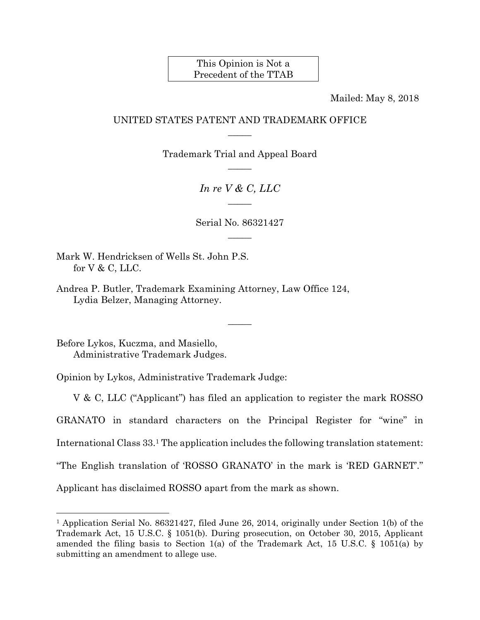## This Opinion is Not a Precedent of the TTAB

Mailed: May 8, 2018

## UNITED STATES PATENT AND TRADEMARK OFFICE  $\overline{\phantom{a}}$

Trademark Trial and Appeal Board  $\overline{\phantom{a}}$ 

> *In re V & C, LLC*   $\overline{\phantom{a}}$

Serial No. 86321427  $\overline{\phantom{a}}$ 

 $\overline{\phantom{a}}$ 

Mark W. Hendricksen of Wells St. John P.S. for V & C, LLC.

Andrea P. Butler, Trademark Examining Attorney, Law Office 124, Lydia Belzer, Managing Attorney.

Before Lykos, Kuczma, and Masiello, Administrative Trademark Judges.

 $\overline{a}$ 

Opinion by Lykos, Administrative Trademark Judge:

 V & C, LLC ("Applicant") has filed an application to register the mark ROSSO GRANATO in standard characters on the Principal Register for "wine" in International Class 33.1 The application includes the following translation statement: "The English translation of 'ROSSO GRANATO' in the mark is 'RED GARNET'." Applicant has disclaimed ROSSO apart from the mark as shown.

<sup>1</sup> Application Serial No. 86321427, filed June 26, 2014, originally under Section 1(b) of the Trademark Act, 15 U.S.C. § 1051(b). During prosecution, on October 30, 2015, Applicant amended the filing basis to Section 1(a) of the Trademark Act, 15 U.S.C.  $\S$  1051(a) by submitting an amendment to allege use.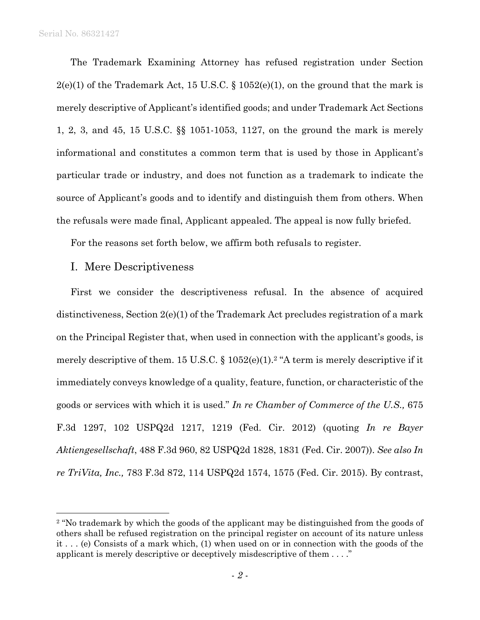$\overline{a}$ 

The Trademark Examining Attorney has refused registration under Section  $2(e)(1)$  of the Trademark Act, 15 U.S.C. § 1052(e)(1), on the ground that the mark is merely descriptive of Applicant's identified goods; and under Trademark Act Sections 1, 2, 3, and 45, 15 U.S.C. §§ 1051-1053, 1127, on the ground the mark is merely informational and constitutes a common term that is used by those in Applicant's particular trade or industry, and does not function as a trademark to indicate the source of Applicant's goods and to identify and distinguish them from others. When the refusals were made final, Applicant appealed. The appeal is now fully briefed.

For the reasons set forth below, we affirm both refusals to register.

## I. Mere Descriptiveness

First we consider the descriptiveness refusal. In the absence of acquired distinctiveness, Section 2(e)(1) of the Trademark Act precludes registration of a mark on the Principal Register that, when used in connection with the applicant's goods, is merely descriptive of them. 15 U.S.C. § 1052(e)(1).2 "A term is merely descriptive if it immediately conveys knowledge of a quality, feature, function, or characteristic of the goods or services with which it is used." *In re Chamber of Commerce of the U.S.,* 675 F.3d 1297, 102 USPQ2d 1217, 1219 (Fed. Cir. 2012) (quoting *In re Bayer Aktiengesellschaft*, 488 F.3d 960, 82 USPQ2d 1828, 1831 (Fed. Cir. 2007)). *See also In re TriVita, Inc.,* 783 F.3d 872, 114 USPQ2d 1574, 1575 (Fed. Cir. 2015). By contrast,

<sup>&</sup>lt;sup>2</sup> "No trademark by which the goods of the applicant may be distinguished from the goods of others shall be refused registration on the principal register on account of its nature unless it . . . (e) Consists of a mark which, (1) when used on or in connection with the goods of the applicant is merely descriptive or deceptively misdescriptive of them . . . ."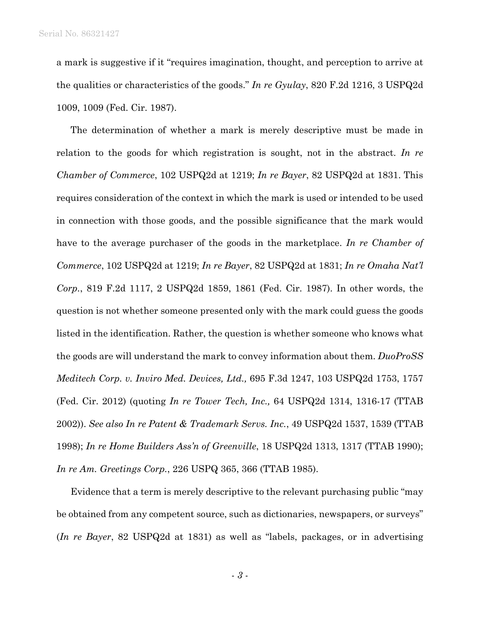a mark is suggestive if it "requires imagination, thought, and perception to arrive at the qualities or characteristics of the goods." *In re Gyulay*, 820 F.2d 1216, 3 USPQ2d 1009, 1009 (Fed. Cir. 1987).

The determination of whether a mark is merely descriptive must be made in relation to the goods for which registration is sought, not in the abstract. *In re Chamber of Commerce*, 102 USPQ2d at 1219; *In re Bayer*, 82 USPQ2d at 1831. This requires consideration of the context in which the mark is used or intended to be used in connection with those goods, and the possible significance that the mark would have to the average purchaser of the goods in the marketplace. *In re Chamber of Commerce*, 102 USPQ2d at 1219; *In re Bayer*, 82 USPQ2d at 1831; *In re Omaha Nat'l Corp.*, 819 F.2d 1117, 2 USPQ2d 1859, 1861 (Fed. Cir. 1987). In other words, the question is not whether someone presented only with the mark could guess the goods listed in the identification. Rather, the question is whether someone who knows what the goods are will understand the mark to convey information about them. *DuoProSS Meditech Corp. v. Inviro Med. Devices, Ltd.,* 695 F.3d 1247, 103 USPQ2d 1753, 1757 (Fed. Cir. 2012) (quoting *In re Tower Tech, Inc.,* 64 USPQ2d 1314, 1316-17 (TTAB 2002)). *See also In re Patent & Trademark Servs. Inc.*, 49 USPQ2d 1537, 1539 (TTAB 1998); *In re Home Builders Ass'n of Greenville*, 18 USPQ2d 1313, 1317 (TTAB 1990); *In re Am. Greetings Corp.*, 226 USPQ 365, 366 (TTAB 1985).

Evidence that a term is merely descriptive to the relevant purchasing public "may be obtained from any competent source, such as dictionaries, newspapers, or surveys" (*In re Bayer*, 82 USPQ2d at 1831) as well as "labels, packages, or in advertising

- *3* -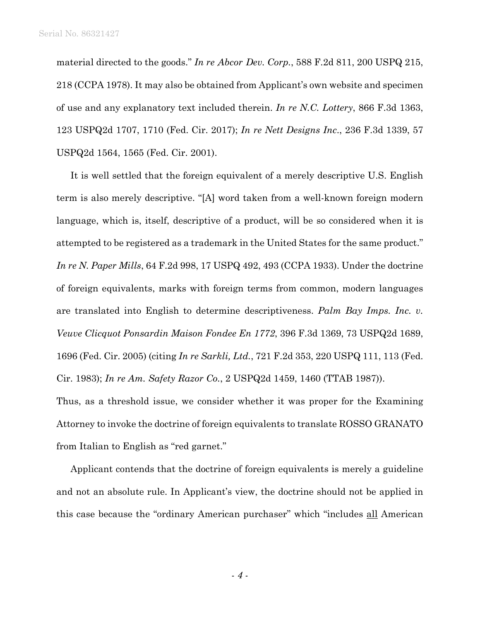material directed to the goods." *In re Abcor Dev. Corp.*, 588 F.2d 811, 200 USPQ 215, 218 (CCPA 1978). It may also be obtained from Applicant's own website and specimen of use and any explanatory text included therein. *In re N.C. Lottery*, 866 F.3d 1363, 123 USPQ2d 1707, 1710 (Fed. Cir. 2017); *In re Nett Designs Inc*., 236 F.3d 1339, 57 USPQ2d 1564, 1565 (Fed. Cir. 2001).

It is well settled that the foreign equivalent of a merely descriptive U.S. English term is also merely descriptive. "[A] word taken from a well-known foreign modern language, which is, itself, descriptive of a product, will be so considered when it is attempted to be registered as a trademark in the United States for the same product." *In re N. Paper Mills*, 64 F.2d 998, 17 USPQ 492, 493 (CCPA 1933). Under the doctrine of foreign equivalents, marks with foreign terms from common, modern languages are translated into English to determine descriptiveness. *Palm Bay Imps. Inc. v. Veuve Clicquot Ponsardin Maison Fondee En 1772*, 396 F.3d 1369, 73 USPQ2d 1689, 1696 (Fed. Cir. 2005) (citing *In re Sarkli, Ltd.*, 721 F.2d 353, 220 USPQ 111, 113 (Fed. Cir. 1983); *In re Am. Safety Razor Co.*, 2 USPQ2d 1459, 1460 (TTAB 1987)).

Thus, as a threshold issue, we consider whether it was proper for the Examining Attorney to invoke the doctrine of foreign equivalents to translate ROSSO GRANATO from Italian to English as "red garnet."

Applicant contends that the doctrine of foreign equivalents is merely a guideline and not an absolute rule. In Applicant's view, the doctrine should not be applied in this case because the "ordinary American purchaser" which "includes all American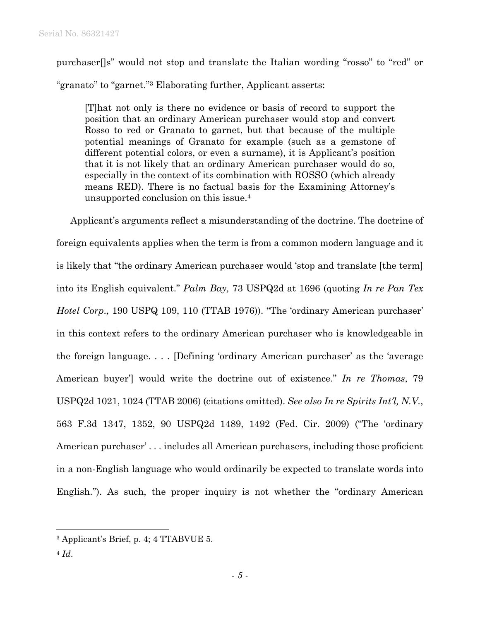purchaser[]s" would not stop and translate the Italian wording "rosso" to "red" or "granato" to "garnet."3 Elaborating further, Applicant asserts:

[T]hat not only is there no evidence or basis of record to support the position that an ordinary American purchaser would stop and convert Rosso to red or Granato to garnet, but that because of the multiple potential meanings of Granato for example (such as a gemstone of different potential colors, or even a surname), it is Applicant's position that it is not likely that an ordinary American purchaser would do so, especially in the context of its combination with ROSSO (which already means RED). There is no factual basis for the Examining Attorney's unsupported conclusion on this issue.4

Applicant's arguments reflect a misunderstanding of the doctrine. The doctrine of foreign equivalents applies when the term is from a common modern language and it is likely that "the ordinary American purchaser would 'stop and translate [the term] into its English equivalent." *Palm Bay,* 73 USPQ2d at 1696 (quoting *In re Pan Tex Hotel Corp*., 190 USPQ 109, 110 (TTAB 1976)). "The 'ordinary American purchaser' in this context refers to the ordinary American purchaser who is knowledgeable in the foreign language. . . . [Defining 'ordinary American purchaser' as the 'average American buyer'] would write the doctrine out of existence." *In re Thomas*, 79 USPQ2d 1021, 1024 (TTAB 2006) (citations omitted). *See also In re Spirits Int'l, N.V.*, 563 F.3d 1347, 1352, 90 USPQ2d 1489, 1492 (Fed. Cir. 2009) ("The 'ordinary American purchaser' . . . includes all American purchasers, including those proficient in a non-English language who would ordinarily be expected to translate words into English."). As such, the proper inquiry is not whether the "ordinary American

<sup>1</sup> 3 Applicant's Brief, p. 4; 4 TTABVUE 5.

 $4$   $Id.$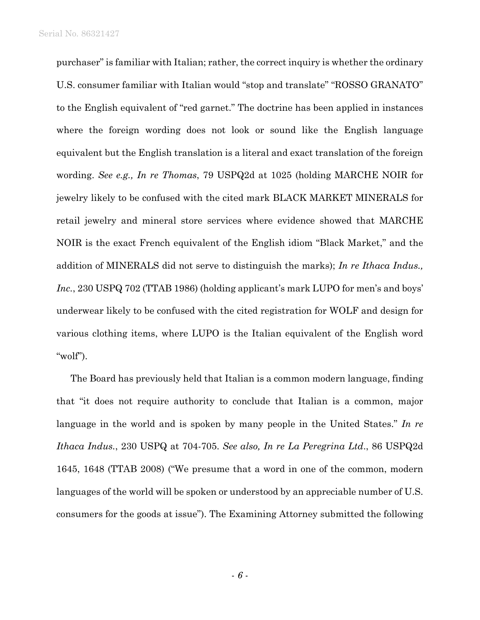purchaser" is familiar with Italian; rather, the correct inquiry is whether the ordinary U.S. consumer familiar with Italian would "stop and translate" "ROSSO GRANATO" to the English equivalent of "red garnet." The doctrine has been applied in instances where the foreign wording does not look or sound like the English language equivalent but the English translation is a literal and exact translation of the foreign wording. *See e.g., In re Thomas*, 79 USPQ2d at 1025 (holding MARCHE NOIR for jewelry likely to be confused with the cited mark BLACK MARKET MINERALS for retail jewelry and mineral store services where evidence showed that MARCHE NOIR is the exact French equivalent of the English idiom "Black Market," and the addition of MINERALS did not serve to distinguish the marks); *In re Ithaca Indus., Inc.*, 230 USPQ 702 (TTAB 1986) (holding applicant's mark LUPO for men's and boys' underwear likely to be confused with the cited registration for WOLF and design for various clothing items, where LUPO is the Italian equivalent of the English word "wolf").

The Board has previously held that Italian is a common modern language, finding that "it does not require authority to conclude that Italian is a common, major language in the world and is spoken by many people in the United States." *In re Ithaca Indus.*, 230 USPQ at 704-705. *See also, In re La Peregrina Ltd*., 86 USPQ2d 1645, 1648 (TTAB 2008) ("We presume that a word in one of the common, modern languages of the world will be spoken or understood by an appreciable number of U.S. consumers for the goods at issue"). The Examining Attorney submitted the following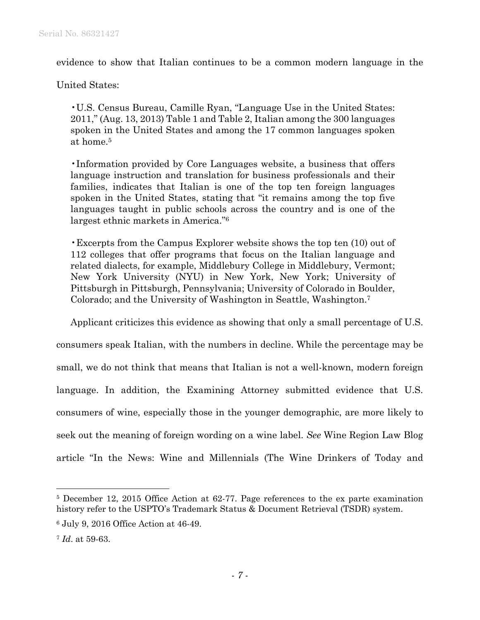evidence to show that Italian continues to be a common modern language in the

United States:

•U.S. Census Bureau, Camille Ryan, "Language Use in the United States: 2011," (Aug. 13, 2013) Table 1 and Table 2, Italian among the 300 languages spoken in the United States and among the 17 common languages spoken at home.5

•Information provided by Core Languages website, a business that offers language instruction and translation for business professionals and their families, indicates that Italian is one of the top ten foreign languages spoken in the United States, stating that "it remains among the top five languages taught in public schools across the country and is one of the largest ethnic markets in America."6

•Excerpts from the Campus Explorer website shows the top ten (10) out of 112 colleges that offer programs that focus on the Italian language and related dialects, for example, Middlebury College in Middlebury, Vermont; New York University (NYU) in New York, New York; University of Pittsburgh in Pittsburgh, Pennsylvania; University of Colorado in Boulder, Colorado; and the University of Washington in Seattle, Washington.7

Applicant criticizes this evidence as showing that only a small percentage of U.S.

consumers speak Italian, with the numbers in decline. While the percentage may be small, we do not think that means that Italian is not a well-known, modern foreign language. In addition, the Examining Attorney submitted evidence that U.S. consumers of wine, especially those in the younger demographic, are more likely to seek out the meaning of foreign wording on a wine label. *See* Wine Region Law Blog article "In the News: Wine and Millennials (The Wine Drinkers of Today and

1

<sup>5</sup> December 12, 2015 Office Action at 62-77. Page references to the ex parte examination history refer to the USPTO's Trademark Status & Document Retrieval (TSDR) system.

<sup>6</sup> July 9, 2016 Office Action at 46-49.

<sup>7</sup> *Id*. at 59-63.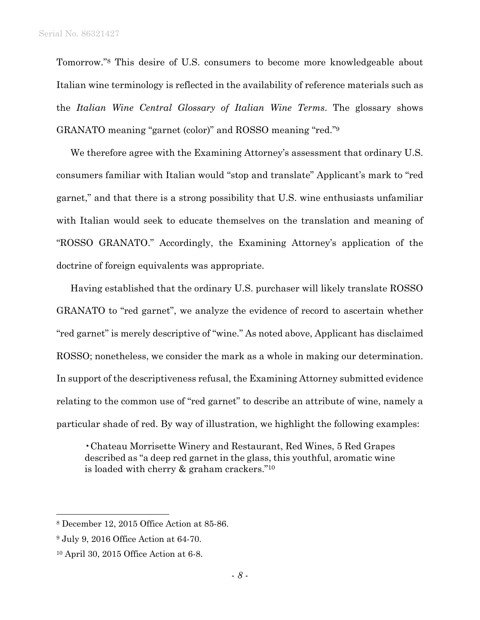Tomorrow."8 This desire of U.S. consumers to become more knowledgeable about Italian wine terminology is reflected in the availability of reference materials such as the *Italian Wine Central Glossary of Italian Wine Terms*. The glossary shows GRANATO meaning "garnet (color)" and ROSSO meaning "red."9

We therefore agree with the Examining Attorney's assessment that ordinary U.S. consumers familiar with Italian would "stop and translate" Applicant's mark to "red garnet," and that there is a strong possibility that U.S. wine enthusiasts unfamiliar with Italian would seek to educate themselves on the translation and meaning of "ROSSO GRANATO." Accordingly, the Examining Attorney's application of the doctrine of foreign equivalents was appropriate.

Having established that the ordinary U.S. purchaser will likely translate ROSSO GRANATO to "red garnet", we analyze the evidence of record to ascertain whether "red garnet" is merely descriptive of "wine." As noted above, Applicant has disclaimed ROSSO; nonetheless, we consider the mark as a whole in making our determination. In support of the descriptiveness refusal, the Examining Attorney submitted evidence relating to the common use of "red garnet" to describe an attribute of wine, namely a particular shade of red. By way of illustration, we highlight the following examples:

•Chateau Morrisette Winery and Restaurant, Red Wines, 5 Red Grapes described as "a deep red garnet in the glass, this youthful, aromatic wine is loaded with cherry & graham crackers."10

 $\overline{a}$ 

<sup>8</sup> December 12, 2015 Office Action at 85-86.

<sup>9</sup> July 9, 2016 Office Action at 64-70.

<sup>10</sup> April 30, 2015 Office Action at 6-8.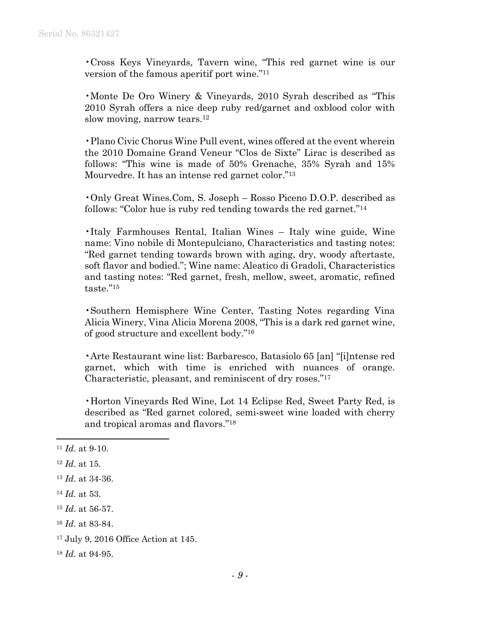•Cross Keys Vineyards, Tavern wine, "This red garnet wine is our version of the famous aperitif port wine."11

•Monte De Oro Winery & Vineyards, 2010 Syrah described as "This 2010 Syrah offers a nice deep ruby red/garnet and oxblood color with slow moving, narrow tears.<sup>12</sup>

•Plano Civic Chorus Wine Pull event, wines offered at the event wherein the 2010 Domaine Grand Veneur "Clos de Sixte" Lirac is described as follows: "This wine is made of 50% Grenache, 35% Syrah and 15% Mourvedre. It has an intense red garnet color."13

•Only Great Wines.Com, S. Joseph – Rosso Piceno D.O.P. described as follows: "Color hue is ruby red tending towards the red garnet."14

•Italy Farmhouses Rental, Italian Wines – Italy wine guide, Wine name: Vino nobile di Montepulciano, Characteristics and tasting notes: "Red garnet tending towards brown with aging, dry, woody aftertaste, soft flavor and bodied."; Wine name: Aleatico di Gradoli, Characteristics and tasting notes: "Red garnet, fresh, mellow, sweet, aromatic, refined taste."15

•Southern Hemisphere Wine Center, Tasting Notes regarding Vina Alicia Winery, Vina Alicia Morena 2008, "This is a dark red garnet wine, of good structure and excellent body."16

•Arte Restaurant wine list: Barbaresco, Batasiolo 65 [an] "[i]ntense red garnet, which with time is enriched with nuances of orange. Characteristic, pleasant, and reminiscent of dry roses."17

•Horton Vineyards Red Wine, Lot 14 Eclipse Red, Sweet Party Red, is described as "Red garnet colored, semi-sweet wine loaded with cherry and tropical aromas and flavors."18

 $\overline{a}$ 

<sup>11</sup> *Id*. at 9-10.

<sup>12</sup> *Id*. at 15.

<sup>13</sup> *Id*. at 34-36.

<sup>14</sup> *Id.* at 53.

<sup>15</sup> *Id*. at 56-57.

<sup>16</sup> *Id.* at 83-84.

<sup>17</sup> July 9, 2016 Office Action at 145.

<sup>18</sup> *Id.* at 94-95.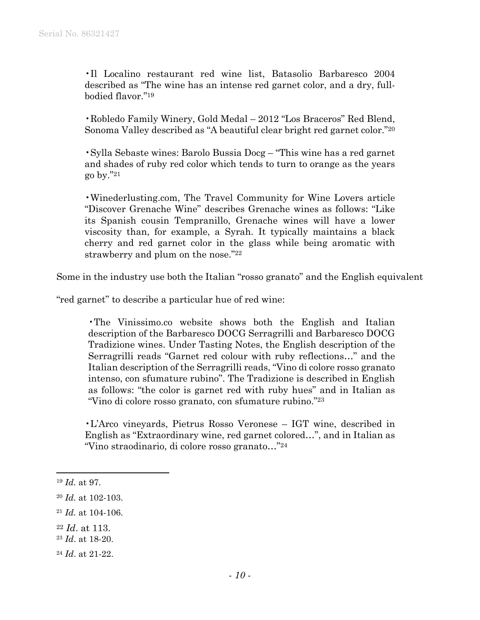•Il Localino restaurant red wine list, Batasolio Barbaresco 2004 described as "The wine has an intense red garnet color, and a dry, fullbodied flavor."19

•Robledo Family Winery, Gold Medal – 2012 "Los Braceros" Red Blend, Sonoma Valley described as "A beautiful clear bright red garnet color."20

•Sylla Sebaste wines: Barolo Bussia Docg – "This wine has a red garnet and shades of ruby red color which tends to turn to orange as the years go by."21

•Winederlusting.com, The Travel Community for Wine Lovers article "Discover Grenache Wine" describes Grenache wines as follows: "Like its Spanish cousin Tempranillo, Grenache wines will have a lower viscosity than, for example, a Syrah. It typically maintains a black cherry and red garnet color in the glass while being aromatic with strawberry and plum on the nose."22

Some in the industry use both the Italian "rosso granato" and the English equivalent

"red garnet" to describe a particular hue of red wine:

 •The Vinissimo.co website shows both the English and Italian description of the Barbaresco DOCG Serragrilli and Barbaresco DOCG Tradizione wines. Under Tasting Notes, the English description of the Serragrilli reads "Garnet red colour with ruby reflections…" and the Italian description of the Serragrilli reads, "Vino di colore rosso granato intenso, con sfumature rubino". The Tradizione is described in English as follows: "the color is garnet red with ruby hues" and in Italian as "Vino di colore rosso granato, con sfumature rubino."23

•L'Arco vineyards, Pietrus Rosso Veronese – IGT wine, described in English as "Extraordinary wine, red garnet colored…", and in Italian as "Vino straodinario, di colore rosso granato…"24

l

<sup>19</sup> *Id.* at 97.

<sup>20</sup> *Id.* at 102-103.

<sup>21</sup> *Id.* at 104-106.

<sup>22</sup> *Id*. at 113.

<sup>23</sup> *Id*. at 18-20.

<sup>24</sup> *Id*. at 21-22.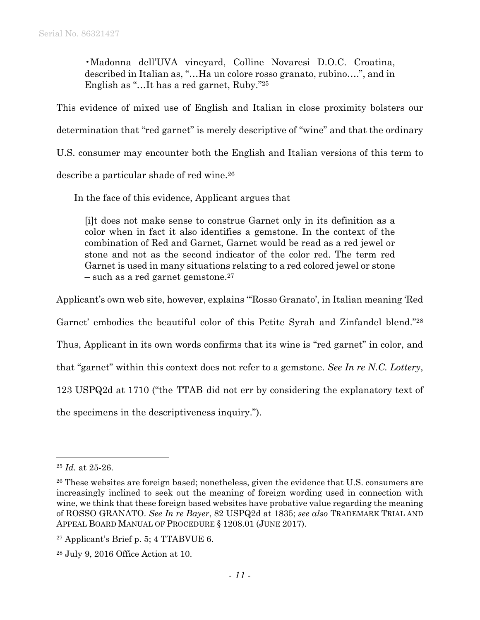•Madonna dell'UVA vineyard, Colline Novaresi D.O.C. Croatina, described in Italian as, "…Ha un colore rosso granato, rubino….", and in English as "…It has a red garnet, Ruby."25

This evidence of mixed use of English and Italian in close proximity bolsters our determination that "red garnet" is merely descriptive of "wine" and that the ordinary U.S. consumer may encounter both the English and Italian versions of this term to describe a particular shade of red wine.<sup>26</sup>

In the face of this evidence, Applicant argues that

[i]t does not make sense to construe Garnet only in its definition as a color when in fact it also identifies a gemstone. In the context of the combination of Red and Garnet, Garnet would be read as a red jewel or stone and not as the second indicator of the color red. The term red Garnet is used in many situations relating to a red colored jewel or stone  $-$  such as a red garnet gemstone.<sup>27</sup>

Applicant's own web site, however, explains "'Rosso Granato', in Italian meaning 'Red

Garnet' embodies the beautiful color of this Petite Syrah and Zinfandel blend."28

Thus, Applicant in its own words confirms that its wine is "red garnet" in color, and

that "garnet" within this context does not refer to a gemstone. *See In re N.C. Lottery*,

123 USPQ2d at 1710 ("the TTAB did not err by considering the explanatory text of

the specimens in the descriptiveness inquiry.").

1

<sup>25</sup> *Id.* at 25-26.

<sup>&</sup>lt;sup>26</sup> These websites are foreign based; nonetheless, given the evidence that U.S. consumers are increasingly inclined to seek out the meaning of foreign wording used in connection with wine, we think that these foreign based websites have probative value regarding the meaning of ROSSO GRANATO. *See In re Bayer*, 82 USPQ2d at 1835; *see also* TRADEMARK TRIAL AND APPEAL BOARD MANUAL OF PROCEDURE § 1208.01 (JUNE 2017).

<sup>27</sup> Applicant's Brief p. 5; 4 TTABVUE 6.

<sup>28</sup> July 9, 2016 Office Action at 10.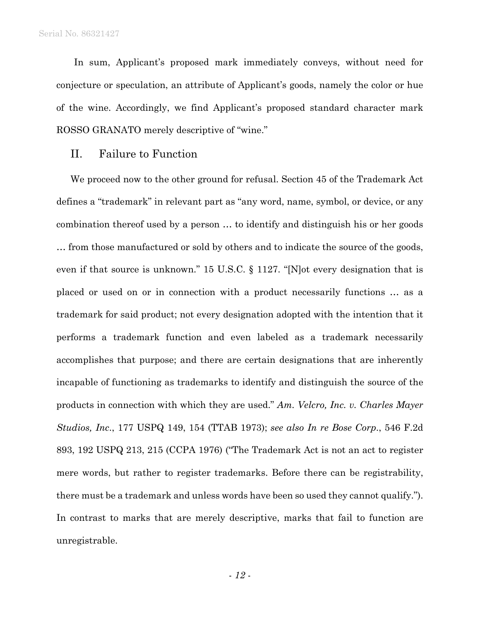In sum, Applicant's proposed mark immediately conveys, without need for conjecture or speculation, an attribute of Applicant's goods, namely the color or hue of the wine. Accordingly, we find Applicant's proposed standard character mark ROSSO GRANATO merely descriptive of "wine."

## II. Failure to Function

We proceed now to the other ground for refusal. Section 45 of the Trademark Act defines a "trademark" in relevant part as "any word, name, symbol, or device, or any combination thereof used by a person … to identify and distinguish his or her goods … from those manufactured or sold by others and to indicate the source of the goods, even if that source is unknown." 15 U.S.C. § 1127. "[N]ot every designation that is placed or used on or in connection with a product necessarily functions … as a trademark for said product; not every designation adopted with the intention that it performs a trademark function and even labeled as a trademark necessarily accomplishes that purpose; and there are certain designations that are inherently incapable of functioning as trademarks to identify and distinguish the source of the products in connection with which they are used." *Am. Velcro, Inc. v. Charles Mayer Studios, Inc*., 177 USPQ 149, 154 (TTAB 1973); *see also In re Bose Corp*., 546 F.2d 893, 192 USPQ 213, 215 (CCPA 1976) ("The Trademark Act is not an act to register mere words, but rather to register trademarks. Before there can be registrability, there must be a trademark and unless words have been so used they cannot qualify."). In contrast to marks that are merely descriptive, marks that fail to function are unregistrable.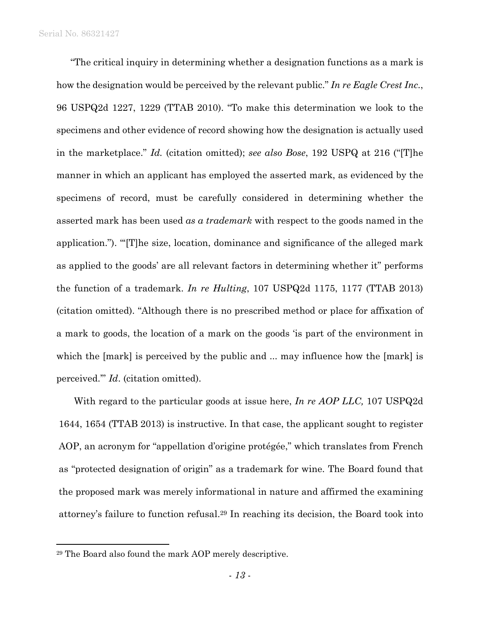"The critical inquiry in determining whether a designation functions as a mark is how the designation would be perceived by the relevant public." *In re Eagle Crest Inc.*, 96 USPQ2d 1227, 1229 (TTAB 2010). "To make this determination we look to the specimens and other evidence of record showing how the designation is actually used in the marketplace." *Id.* (citation omitted); *see also Bose*, 192 USPQ at 216 ("[T]he manner in which an applicant has employed the asserted mark, as evidenced by the specimens of record, must be carefully considered in determining whether the asserted mark has been used *as a trademark* with respect to the goods named in the application."). "'[T]he size, location, dominance and significance of the alleged mark as applied to the goods' are all relevant factors in determining whether it" performs the function of a trademark. *In re Hulting*, 107 USPQ2d 1175, 1177 (TTAB 2013) (citation omitted). "Although there is no prescribed method or place for affixation of a mark to goods, the location of a mark on the goods 'is part of the environment in which the [mark] is perceived by the public and ... may influence how the [mark] is perceived.'" *Id*. (citation omitted).

With regard to the particular goods at issue here, *In re AOP LLC,* 107 USPQ2d 1644, 1654 (TTAB 2013) is instructive. In that case, the applicant sought to register AOP, an acronym for "appellation d'origine protégée," which translates from French as "protected designation of origin" as a trademark for wine. The Board found that the proposed mark was merely informational in nature and affirmed the examining attorney's failure to function refusal.29 In reaching its decision, the Board took into

1

<sup>29</sup> The Board also found the mark AOP merely descriptive.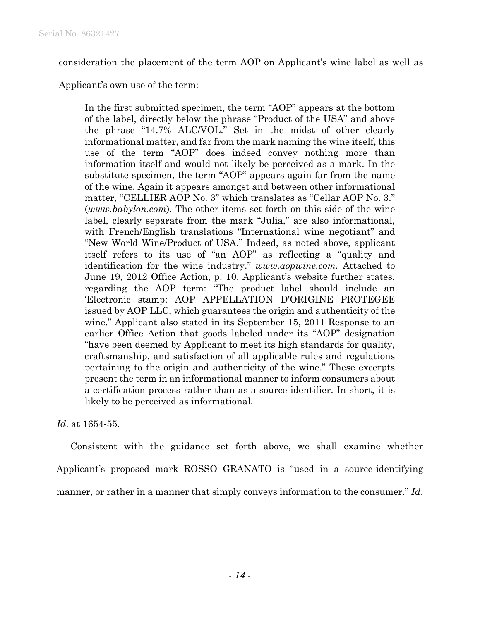consideration the placement of the term AOP on Applicant's wine label as well as

Applicant's own use of the term:

In the first submitted specimen, the term "AOP" appears at the bottom of the label, directly below the phrase "Product of the USA" and above the phrase "14.7% ALC/VOL." Set in the midst of other clearly informational matter, and far from the mark naming the wine itself, this use of the term "AOP" does indeed convey nothing more than information itself and would not likely be perceived as a mark. In the substitute specimen, the term "AOP" appears again far from the name of the wine. Again it appears amongst and between other informational matter, "CELLIER AOP No. 3" which translates as "Cellar AOP No. 3." (*www.babylon.com*). The other items set forth on this side of the wine label, clearly separate from the mark "Julia," are also informational, with French/English translations "International wine negotiant" and "New World Wine/Product of USA." Indeed, as noted above, applicant itself refers to its use of "an AOP" as reflecting a "quality and identification for the wine industry." *www.aopwine.com.* Attached to June 19, 2012 Office Action, p. 10. Applicant's website further states, regarding the AOP term: "The product label should include an 'Electronic stamp: AOP APPELLATION D'ORIGINE PROTEGEE issued by AOP LLC, which guarantees the origin and authenticity of the wine." Applicant also stated in its September 15, 2011 Response to an earlier Office Action that goods labeled under its "AOP" designation "have been deemed by Applicant to meet its high standards for quality, craftsmanship, and satisfaction of all applicable rules and regulations pertaining to the origin and authenticity of the wine." These excerpts present the term in an informational manner to inform consumers about a certification process rather than as a source identifier. In short, it is likely to be perceived as informational.

*Id*. at 1654-55.

Consistent with the guidance set forth above, we shall examine whether Applicant's proposed mark ROSSO GRANATO is "used in a source-identifying manner, or rather in a manner that simply conveys information to the consumer." *Id*.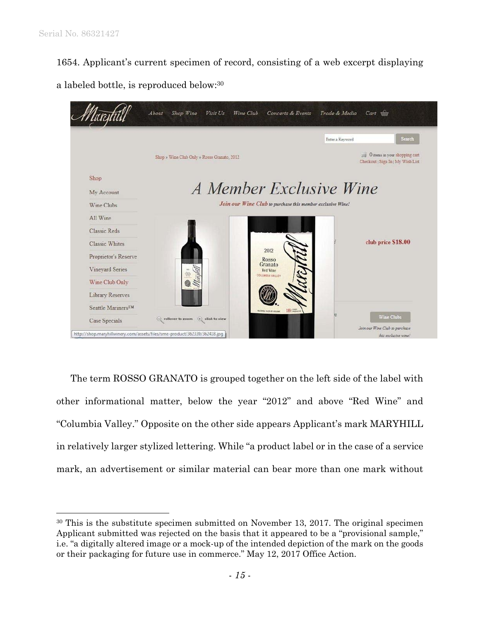$\overline{a}$ 

1654. Applicant's current specimen of record, consisting of a web excerpt displaying

a labeled bottle, is reproduced below:30



The term ROSSO GRANATO is grouped together on the left side of the label with other informational matter, below the year "2012" and above "Red Wine" and "Columbia Valley." Opposite on the other side appears Applicant's mark MARYHILL in relatively larger stylized lettering. While "a product label or in the case of a service mark, an advertisement or similar material can bear more than one mark without

<sup>30</sup> This is the substitute specimen submitted on November 13, 2017. The original specimen Applicant submitted was rejected on the basis that it appeared to be a "provisional sample," i.e. "a digitally altered image or a mock-up of the intended depiction of the mark on the goods or their packaging for future use in commerce." May 12, 2017 Office Action.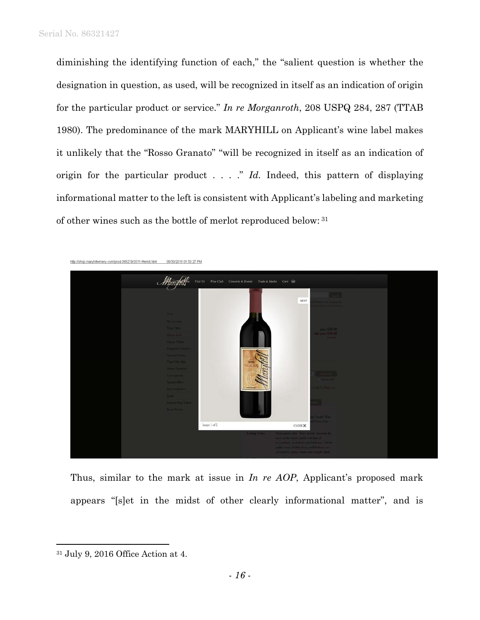diminishing the identifying function of each," the "salient question is whether the designation in question, as used, will be recognized in itself as an indication of origin for the particular product or service." *In re Morganroth*, 208 USPQ 284, 287 (TTAB 1980). The predominance of the mark MARYHILL on Applicant's wine label makes it unlikely that the "Rosso Granato" "will be recognized in itself as an indication of origin for the particular product . . . ." *Id.* Indeed, this pattern of displaying informational matter to the left is consistent with Applicant's labeling and marketing of other wines such as the bottle of merlot reproduced below: 31



Thus, similar to the mark at issue in *In re AOP*, Applicant's proposed mark appears "[s]et in the midst of other clearly informational matter", and is

 $\overline{a}$ 

<sup>31</sup> July 9, 2016 Office Action at 4.